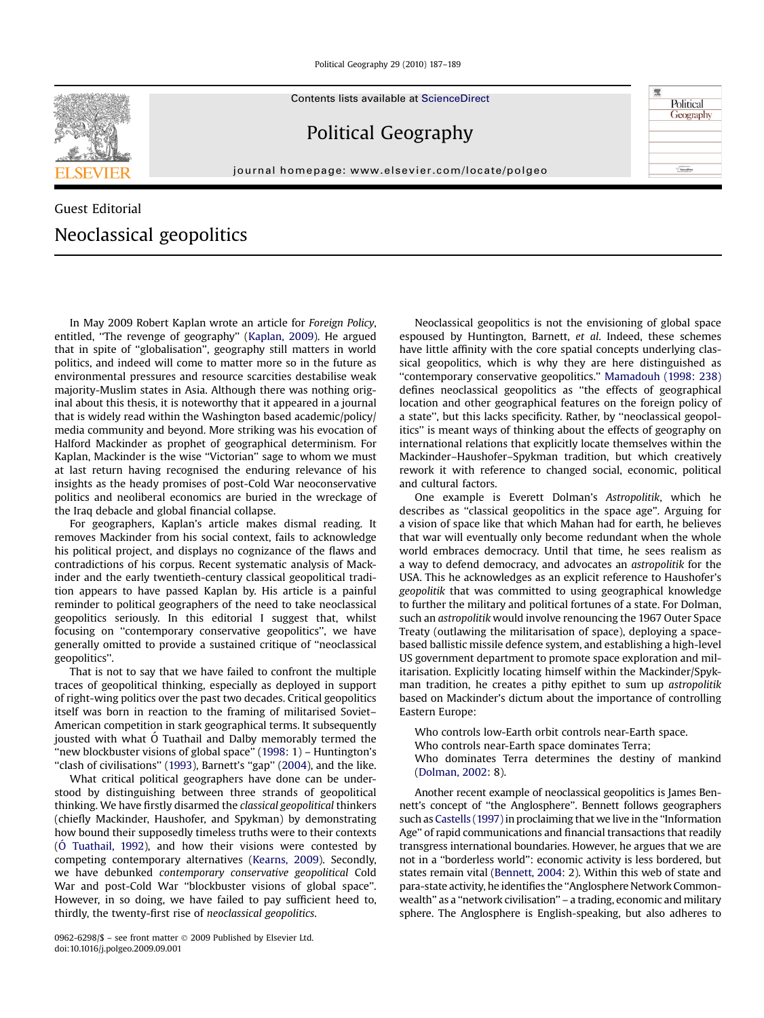Political Geography 29 (2010) 187–189



Contents lists available at [ScienceDirect](www.sciencedirect.com/science/journal/09626298)

## Political Geography

journal homepage: [www.elsevier.com/locate/polgeo](http://www.elsevier.com/locate/polgeo)

## Guest Editorial Neoclassical geopolitics

In May 2009 Robert Kaplan wrote an article for Foreign Policy, entitled, ''The revenge of geography'' ([Kaplan, 2009\)](#page-1-0). He argued that in spite of ''globalisation'', geography still matters in world politics, and indeed will come to matter more so in the future as environmental pressures and resource scarcities destabilise weak majority-Muslim states in Asia. Although there was nothing original about this thesis, it is noteworthy that it appeared in a journal that is widely read within the Washington based academic/policy/ media community and beyond. More striking was his evocation of Halford Mackinder as prophet of geographical determinism. For Kaplan, Mackinder is the wise ''Victorian'' sage to whom we must at last return having recognised the enduring relevance of his insights as the heady promises of post-Cold War neoconservative politics and neoliberal economics are buried in the wreckage of the Iraq debacle and global financial collapse.

For geographers, Kaplan's article makes dismal reading. It removes Mackinder from his social context, fails to acknowledge his political project, and displays no cognizance of the flaws and contradictions of his corpus. Recent systematic analysis of Mackinder and the early twentieth-century classical geopolitical tradition appears to have passed Kaplan by. His article is a painful reminder to political geographers of the need to take neoclassical geopolitics seriously. In this editorial I suggest that, whilst focusing on ''contemporary conservative geopolitics'', we have generally omitted to provide a sustained critique of ''neoclassical geopolitics''.

That is not to say that we have failed to confront the multiple traces of geopolitical thinking, especially as deployed in support of right-wing politics over the past two decades. Critical geopolitics itself was born in reaction to the framing of militarised Soviet– American competition in stark geographical terms. It subsequently jousted with what O Tuathail and Dalby memorably termed the "new blockbuster visions of global space" [\(1998:](#page-2-0) 1) - Huntington's "clash of civilisations" [\(1993\)](#page-1-0), Barnett's "gap" ([2004](#page-1-0)), and the like.

What critical political geographers have done can be understood by distinguishing between three strands of geopolitical thinking. We have firstly disarmed the classical geopolitical thinkers (chiefly Mackinder, Haushofer, and Spykman) by demonstrating how bound their supposedly timeless truths were to their contexts  $(0$  [Tuathail, 1992](#page-2-0)), and how their visions were contested by competing contemporary alternatives [\(Kearns, 2009\)](#page-1-0). Secondly, we have debunked contemporary conservative geopolitical Cold War and post-Cold War ''blockbuster visions of global space''. However, in so doing, we have failed to pay sufficient heed to, thirdly, the twenty-first rise of neoclassical geopolitics.

0962-6298/\$ – see front matter © 2009 Published by Elsevier Ltd. doi:10.1016/j.polgeo.2009.09.001

Neoclassical geopolitics is not the envisioning of global space espoused by Huntington, Barnett, et al. Indeed, these schemes have little affinity with the core spatial concepts underlying classical geopolitics, which is why they are here distinguished as ''contemporary conservative geopolitics.'' [Mamadouh \(1998: 238\)](#page-2-0) defines neoclassical geopolitics as ''the effects of geographical location and other geographical features on the foreign policy of a state'', but this lacks specificity. Rather, by ''neoclassical geopolitics'' is meant ways of thinking about the effects of geography on international relations that explicitly locate themselves within the Mackinder–Haushofer–Spykman tradition, but which creatively rework it with reference to changed social, economic, political and cultural factors.

飛

Political Geography

 $rac{1}{\sqrt{2}}$ Sdeva $\theta$ 

One example is Everett Dolman's Astropolitik, which he describes as ''classical geopolitics in the space age''. Arguing for a vision of space like that which Mahan had for earth, he believes that war will eventually only become redundant when the whole world embraces democracy. Until that time, he sees realism as a way to defend democracy, and advocates an astropolitik for the USA. This he acknowledges as an explicit reference to Haushofer's geopolitik that was committed to using geographical knowledge to further the military and political fortunes of a state. For Dolman, such an astropolitik would involve renouncing the 1967 Outer Space Treaty (outlawing the militarisation of space), deploying a spacebased ballistic missile defence system, and establishing a high-level US government department to promote space exploration and militarisation. Explicitly locating himself within the Mackinder/Spykman tradition, he creates a pithy epithet to sum up astropolitik based on Mackinder's dictum about the importance of controlling Eastern Europe:

Who controls low-Earth orbit controls near-Earth space. Who controls near-Earth space dominates Terra; Who dominates Terra determines the destiny of mankind [\(Dolman, 2002:](#page-1-0) 8).

Another recent example of neoclassical geopolitics is James Bennett's concept of ''the Anglosphere''. Bennett follows geographers such as [Castells \(1997\)](#page-1-0) in proclaiming that we live in the "Information Age'' of rapid communications and financial transactions that readily transgress international boundaries. However, he argues that we are not in a ''borderless world'': economic activity is less bordered, but states remain vital ([Bennett, 2004](#page-1-0): 2). Within this web of state and para-state activity, he identifies the ''Anglosphere Network Commonwealth'' as a ''network civilisation'' – a trading, economic and military sphere. The Anglosphere is English-speaking, but also adheres to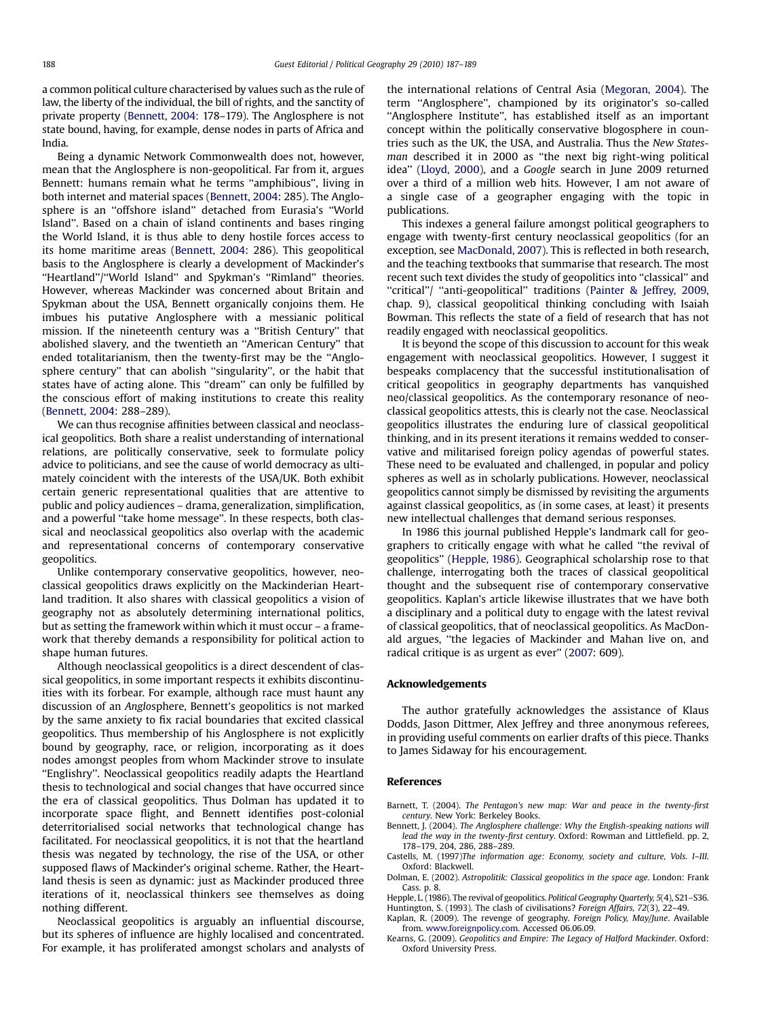<span id="page-1-0"></span>a common political culture characterised by values such as the rule of law, the liberty of the individual, the bill of rights, and the sanctity of private property (Bennett, 2004: 178–179). The Anglosphere is not state bound, having, for example, dense nodes in parts of Africa and India.

Being a dynamic Network Commonwealth does not, however, mean that the Anglosphere is non-geopolitical. Far from it, argues Bennett: humans remain what he terms ''amphibious'', living in both internet and material spaces (Bennett, 2004: 285). The Anglosphere is an ''offshore island'' detached from Eurasia's ''World Island''. Based on a chain of island continents and bases ringing the World Island, it is thus able to deny hostile forces access to its home maritime areas (Bennett, 2004: 286). This geopolitical basis to the Anglosphere is clearly a development of Mackinder's ''Heartland''/''World Island'' and Spykman's ''Rimland'' theories. However, whereas Mackinder was concerned about Britain and Spykman about the USA, Bennett organically conjoins them. He imbues his putative Anglosphere with a messianic political mission. If the nineteenth century was a ''British Century'' that abolished slavery, and the twentieth an ''American Century'' that ended totalitarianism, then the twenty-first may be the ''Anglosphere century'' that can abolish ''singularity'', or the habit that states have of acting alone. This ''dream'' can only be fulfilled by the conscious effort of making institutions to create this reality (Bennett, 2004: 288–289).

We can thus recognise affinities between classical and neoclassical geopolitics. Both share a realist understanding of international relations, are politically conservative, seek to formulate policy advice to politicians, and see the cause of world democracy as ultimately coincident with the interests of the USA/UK. Both exhibit certain generic representational qualities that are attentive to public and policy audiences – drama, generalization, simplification, and a powerful ''take home message''. In these respects, both classical and neoclassical geopolitics also overlap with the academic and representational concerns of contemporary conservative geopolitics.

Unlike contemporary conservative geopolitics, however, neoclassical geopolitics draws explicitly on the Mackinderian Heartland tradition. It also shares with classical geopolitics a vision of geography not as absolutely determining international politics, but as setting the framework within which it must occur – a framework that thereby demands a responsibility for political action to shape human futures.

Although neoclassical geopolitics is a direct descendent of classical geopolitics, in some important respects it exhibits discontinuities with its forbear. For example, although race must haunt any discussion of an Anglosphere, Bennett's geopolitics is not marked by the same anxiety to fix racial boundaries that excited classical geopolitics. Thus membership of his Anglosphere is not explicitly bound by geography, race, or religion, incorporating as it does nodes amongst peoples from whom Mackinder strove to insulate ''Englishry''. Neoclassical geopolitics readily adapts the Heartland thesis to technological and social changes that have occurred since the era of classical geopolitics. Thus Dolman has updated it to incorporate space flight, and Bennett identifies post-colonial deterritorialised social networks that technological change has facilitated. For neoclassical geopolitics, it is not that the heartland thesis was negated by technology, the rise of the USA, or other supposed flaws of Mackinder's original scheme. Rather, the Heartland thesis is seen as dynamic: just as Mackinder produced three iterations of it, neoclassical thinkers see themselves as doing nothing different.

Neoclassical geopolitics is arguably an influential discourse, but its spheres of influence are highly localised and concentrated. For example, it has proliferated amongst scholars and analysts of the international relations of Central Asia ([Megoran, 2004](#page-2-0)). The term ''Anglosphere'', championed by its originator's so-called ''Anglosphere Institute'', has established itself as an important concept within the politically conservative blogosphere in countries such as the UK, the USA, and Australia. Thus the New Statesman described it in 2000 as ''the next big right-wing political idea'' [\(Lloyd, 2000\)](#page-2-0), and a Google search in June 2009 returned over a third of a million web hits. However, I am not aware of a single case of a geographer engaging with the topic in publications.

This indexes a general failure amongst political geographers to engage with twenty-first century neoclassical geopolitics (for an exception, see [MacDonald, 2007\)](#page-2-0). This is reflected in both research, and the teaching textbooks that summarise that research. The most recent such text divides the study of geopolitics into ''classical'' and "critical"/ "anti-geopolitical" traditions [\(Painter & Jeffrey, 2009,](#page-2-0) chap. 9), classical geopolitical thinking concluding with Isaiah Bowman. This reflects the state of a field of research that has not readily engaged with neoclassical geopolitics.

It is beyond the scope of this discussion to account for this weak engagement with neoclassical geopolitics. However, I suggest it bespeaks complacency that the successful institutionalisation of critical geopolitics in geography departments has vanquished neo/classical geopolitics. As the contemporary resonance of neoclassical geopolitics attests, this is clearly not the case. Neoclassical geopolitics illustrates the enduring lure of classical geopolitical thinking, and in its present iterations it remains wedded to conservative and militarised foreign policy agendas of powerful states. These need to be evaluated and challenged, in popular and policy spheres as well as in scholarly publications. However, neoclassical geopolitics cannot simply be dismissed by revisiting the arguments against classical geopolitics, as (in some cases, at least) it presents new intellectual challenges that demand serious responses.

In 1986 this journal published Hepple's landmark call for geographers to critically engage with what he called ''the revival of geopolitics'' (Hepple, 1986). Geographical scholarship rose to that challenge, interrogating both the traces of classical geopolitical thought and the subsequent rise of contemporary conservative geopolitics. Kaplan's article likewise illustrates that we have both a disciplinary and a political duty to engage with the latest revival of classical geopolitics, that of neoclassical geopolitics. As MacDonald argues, ''the legacies of Mackinder and Mahan live on, and radical critique is as urgent as ever'' [\(2007:](#page-2-0) 609).

## Acknowledgements

The author gratefully acknowledges the assistance of Klaus Dodds, Jason Dittmer, Alex Jeffrey and three anonymous referees, in providing useful comments on earlier drafts of this piece. Thanks to James Sidaway for his encouragement.

## References

Barnett, T. (2004). The Pentagon's new map: War and peace in the twenty-first century. New York: Berkeley Books.

- Bennett, J. (2004). The Anglosphere challenge: Why the English-speaking nations will lead the way in the twenty-first century. Oxford: Rowman and Littlefield. pp. 2, 178–179, 204, 286, 288–289.
- Castells, M. (1997)The information age: Economy, society and culture, Vols. I–III. Oxford: Blackwell.

Dolman, E. (2002). Astropolitik: Classical geopolitics in the space age. London: Frank Cass. p. 8.

Hepple, L. (1986). The revival of geopolitics. Political Geography Quarterly, 5(4), S21–S36. Huntington, S. (1993). The clash of civilisations? Foreign Affairs, 72(3), 22–49.

Kaplan, R. (2009). The revenge of geography. Foreign Policy, May/June. Available from. [www.foreignpolicy.com.](http://www.foreignpolicy.com) Accessed 06.06.09.

Kearns, G. (2009). Geopolitics and Empire: The Legacy of Halford Mackinder. Oxford: Oxford University Press.